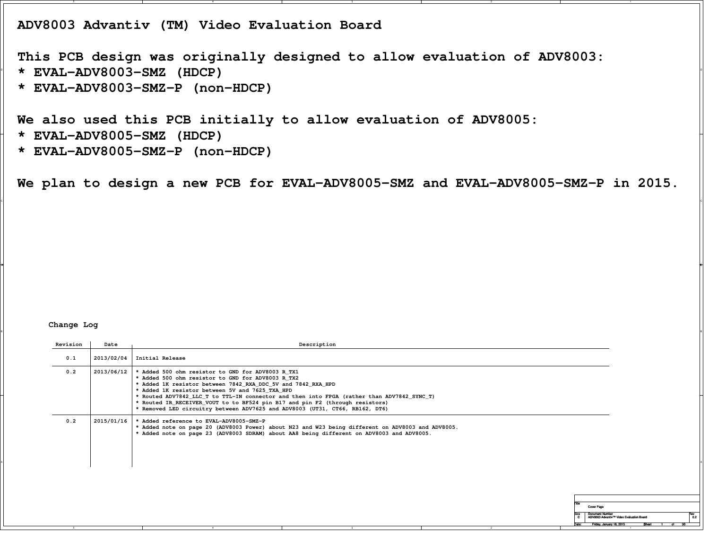**ADV8003 Advantiv (TM) Video Evaluation Board**

 <sup>D</sup> **\* EVAL-ADV8003-SMZ (HDCP)This PCB design was originally designed to allow evaluation of ADV8003:**

**\* EVAL-ADV8003-SMZ-P (non-HDCP)**

**We also used this PCB initially to allow evaluation of ADV8005:**

- **\* EVAL-ADV8005-SMZ (HDCP)**
- **\* EVAL-ADV8005-SMZ-P (non-HDCP)**

**We plan to design a new PCB for EVAL-ADV8005-SMZ and EVAL-ADV8005-SMZ-P in 2015.**

 $\circ$ 

BI<br>Bi

## **Change Log**

| Revision | Date       | Description                                                                                                                                                                                                                                                                                                                                                                                                                                                                             |                                                                             |
|----------|------------|-----------------------------------------------------------------------------------------------------------------------------------------------------------------------------------------------------------------------------------------------------------------------------------------------------------------------------------------------------------------------------------------------------------------------------------------------------------------------------------------|-----------------------------------------------------------------------------|
| 0.1      |            | $2013/02/04$   Initial Release                                                                                                                                                                                                                                                                                                                                                                                                                                                          |                                                                             |
| 0.2      | 2013/06/12 | * Added 500 ohm resistor to GND for ADV8003 R TX1<br>* Added 500 ohm resistor to GND for ADV8003 R TX2<br>* Added 1K resistor between 7842 RXA DDC 5V and 7842 RXA HPD<br>* Added 1K resistor between 5V and 7625 TXA HPD<br>* Routed ADV7842_LLC_T to TTL-IN connector and then into FPGA (rather than ADV7842_SYNC_T)<br>* Routed IR_RECEIVER_VOUT to to BF524 pin B17 and pin F2 (through resistors)<br>* Removed LED circuitry between ADV7625 and ADV8003 (UT31, CT66, RB162, DT6) |                                                                             |
| 0.2      | 2015/01/16 | * Added reference to EVAL-ADV8005-SMZ-P<br>* Added note on page 20 (ADV8003 Power) about N23 and W23 being different on ADV8003 and ADV8005.<br>* Added note on page 23 (ADV8003 SDRAM) about AA8 being different on ADV8003 and ADV8005.                                                                                                                                                                                                                                               |                                                                             |
|          |            |                                                                                                                                                                                                                                                                                                                                                                                                                                                                                         |                                                                             |
|          |            | <b>Cover Page</b><br><b>Document Number</b><br>$-4$                                                                                                                                                                                                                                                                                                                                                                                                                                     | 0.2<br>ADV8003 Advantiv™ Video Evaluation Board<br>Friday, January 16, 2015 |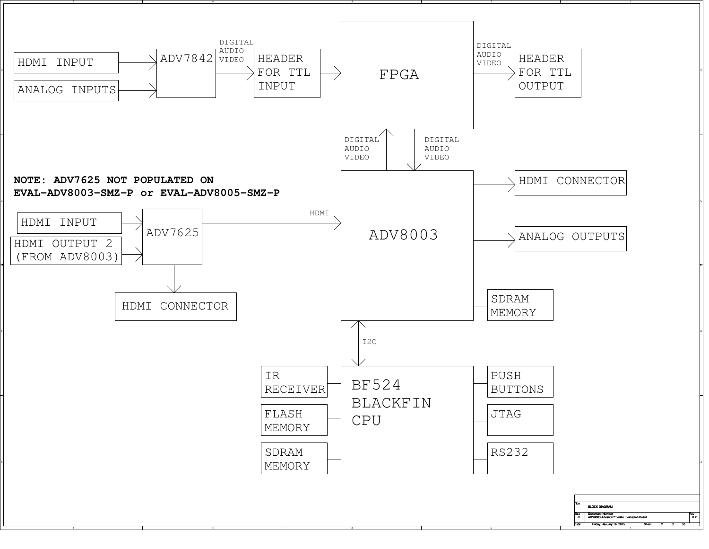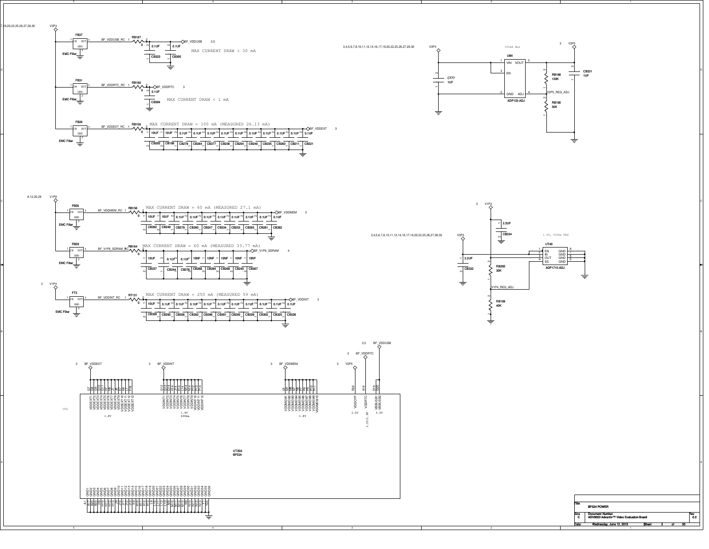



3,4,5,6,7,8,10,11,12,14,16,17,19,20,22,25,26,27,28,30

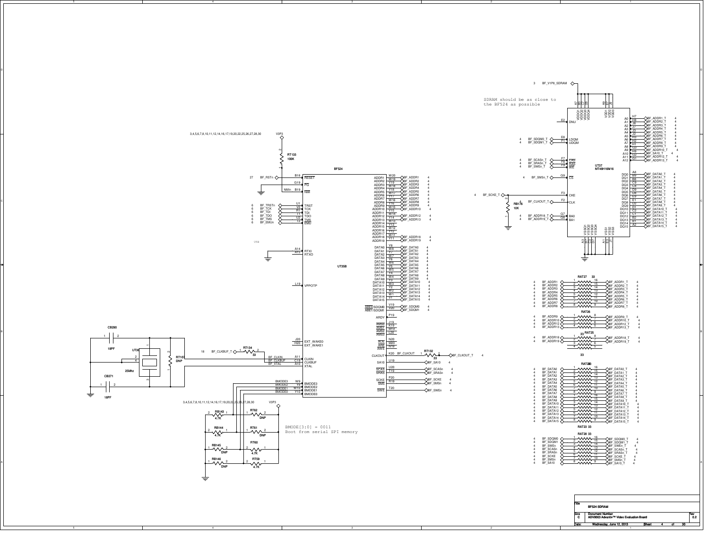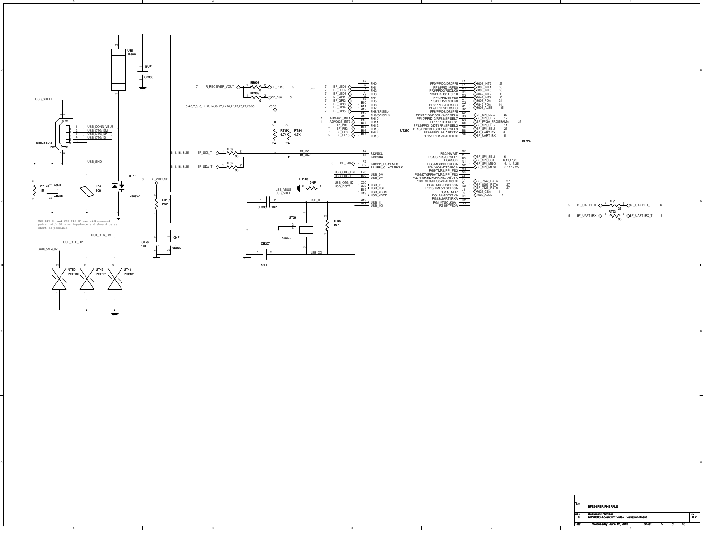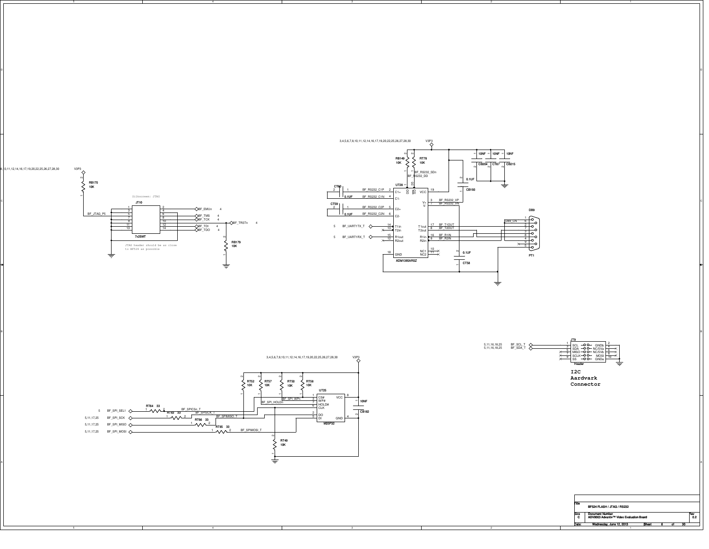

on and the contract of the contract of the contract of the contract of the contract of the contract of the contract of the contract of the contract of the contract of the contract of the contract of the contract of the con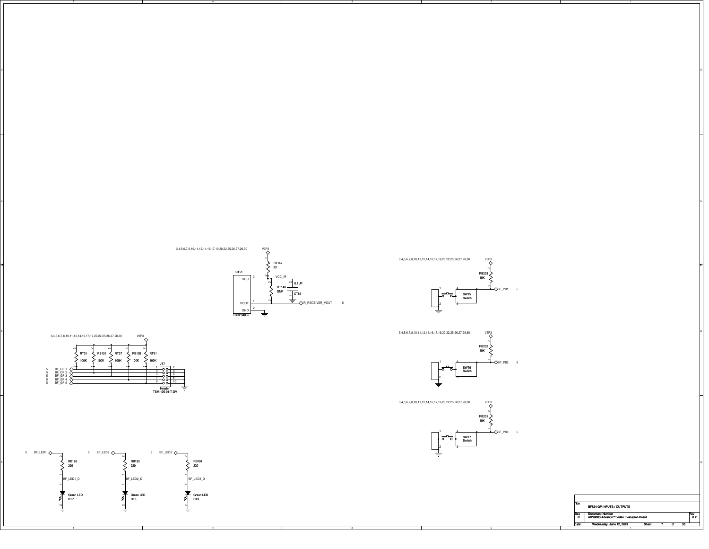





on and the contract of the contract of the contract of the contract of the contract of the contract of the contract of the contract of the contract of the contract of the contract of the contract of the contract of the con

 $\circ$ 











 $\begin{bmatrix} 1 & 0 \\ 0 & 2 \end{bmatrix}$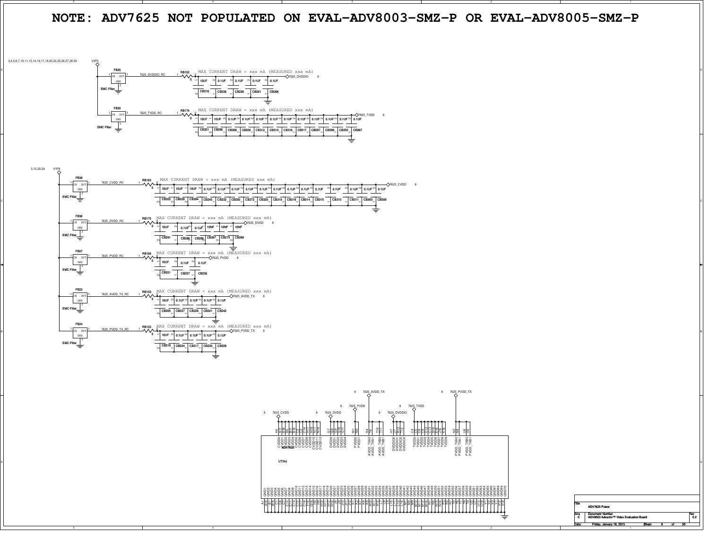

হ A18  $\overline{\omega}$ B18 පි C7 ិ C14 5ء<br>ت n<br>G n<br>C F16  $\frac{6}{5}$  <u>이리나있다 아이들은 외의의 김당국의 업무 인물로</u> 보일 의외원원의 직원원원원원의 원리의리 22 ષ્ટ V3 5 V12 V18 TitleSize Document Number<br>C ADV8003 Advantiv™ Video Evaluation Board 0.2 r - 62 Date:Friday, January 16, 2015 Bheet 8 of ADV7625 Powernce<br>C Friday, January 16, 20155 Sheet 8 of 30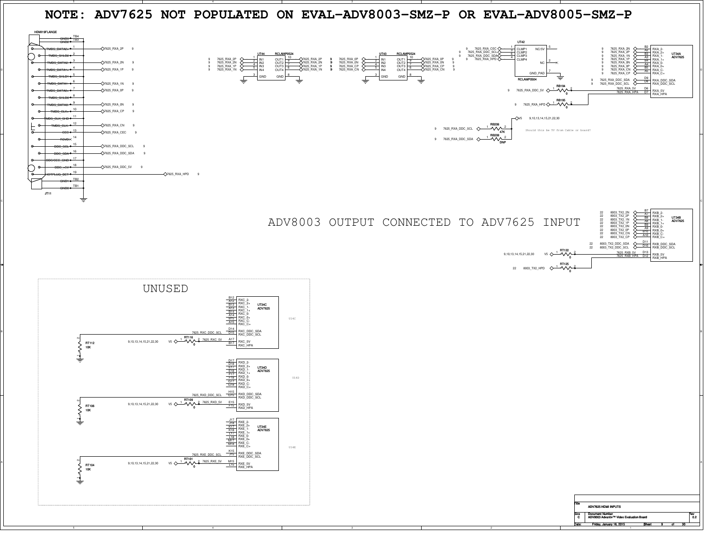





| Title     | ADV7625 HDMI INPUTS                                                |  |  |            |
|-----------|--------------------------------------------------------------------|--|--|------------|
| Size<br>C | <b>Document Number</b><br>ADV8003 Advantiv™ Video Evaluation Board |  |  | Rev<br>0.2 |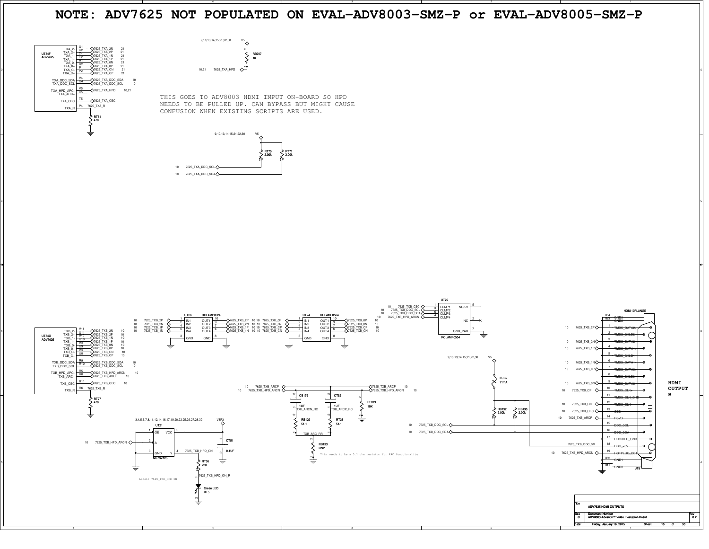## **NOTE: ADV7625 NOT POPULATED ON EVAL-ADV8003-SMZ-P or EVAL-ADV8005-SMZ-P**

 $\circ$ 



THIS GOES TO ADV8003 HDMI INPUT ON-BOARD SO HPD NEEDS TO BE PULLED UP. CAN BYPASS BUT MIGHT CAUSECONFUSION WHEN EXISTING SCRIPTS ARE USED.

RB907 $\frac{1}{1}$  $\Diamond$  $\bar{z}$ 



10,21 7625\_TXA\_HPD

9,10,13,14,15,21,22,30 V5

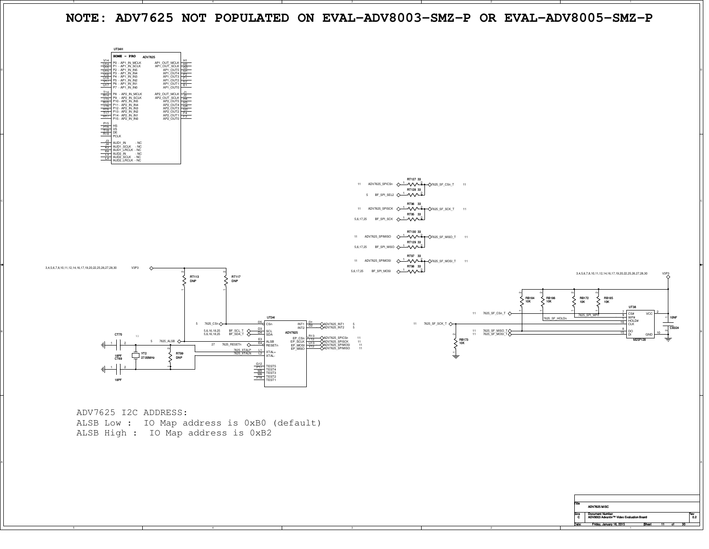**NOTE: ADV7625 NOT POPULATED ON EVAL-ADV8003-SMZ-P OR EVAL-ADV8005-SMZ-P**



A

| <b>Title</b> |                                          |     |
|--------------|------------------------------------------|-----|
|              | ADV7625 MISC                             |     |
| <b>Size</b>  | <b>Document Number</b>                   | Rev |
| c            | ADV8003 Advantiv™ Video Evaluation Board | 0.2 |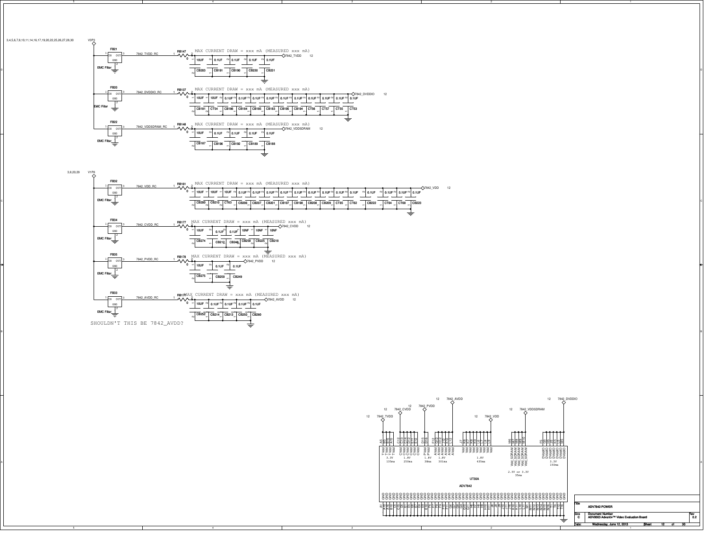



 $\frac{1000}{0.2}$ 

3 Sheet 12 of 30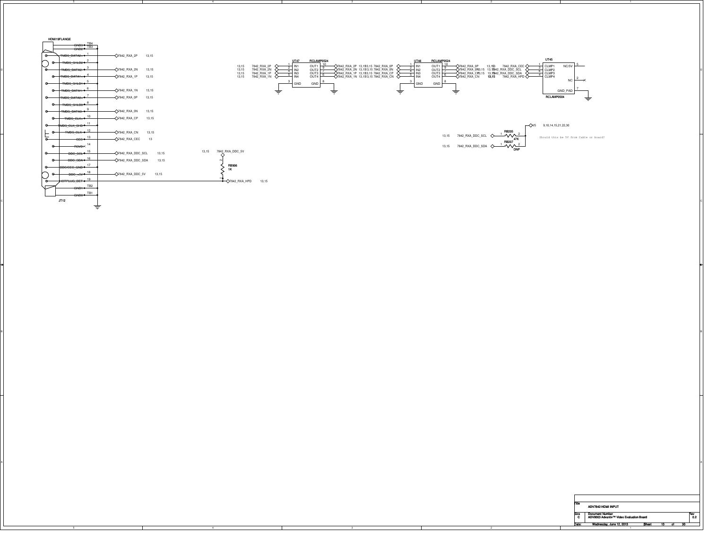

BI<br>Bi

A

| Title | ADV7842 HDMI INPUT                       |       |   |    |     |
|-------|------------------------------------------|-------|---|----|-----|
| Size  | <b>Document Number</b>                   |       |   |    | Rev |
| C     | ADV8003 Advantiv™ Video Evaluation Board |       |   |    | 0.2 |
| )ale: | Wednesday, June 12, 2013                 | Sheet | n | 30 |     |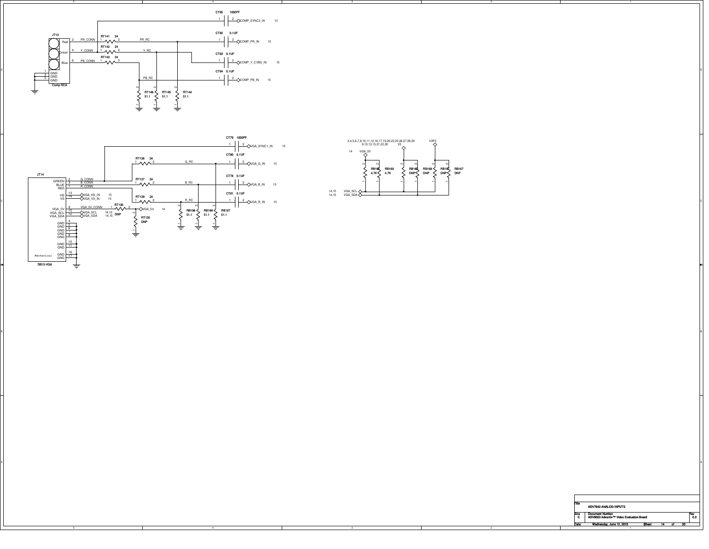





BI<br>Bi

| Title             | <b>ADV7842 ANALOG INPUTS</b>             |       |  |    |     |
|-------------------|------------------------------------------|-------|--|----|-----|
| Size              | <b>Document Number</b>                   |       |  |    | Rew |
| C                 | ADV8003 Advantiv™ Video Evaluation Board |       |  |    | 0.2 |
| )ale <sup>.</sup> | Wednesday, June 12, 2013                 | Sheet |  | 30 |     |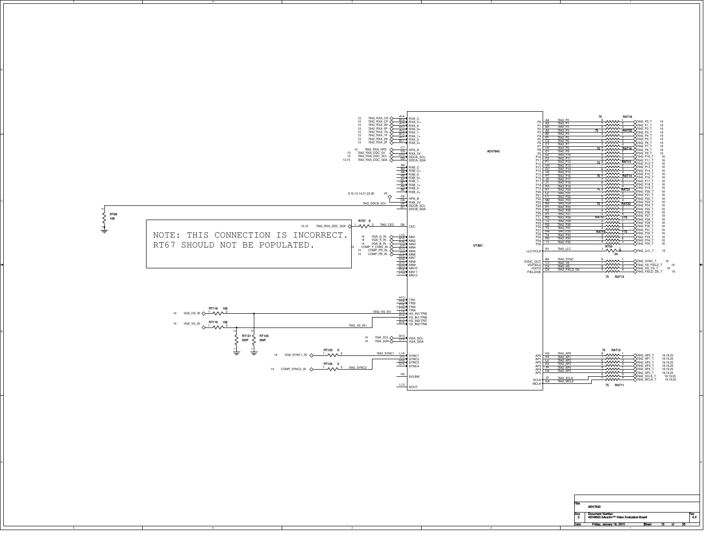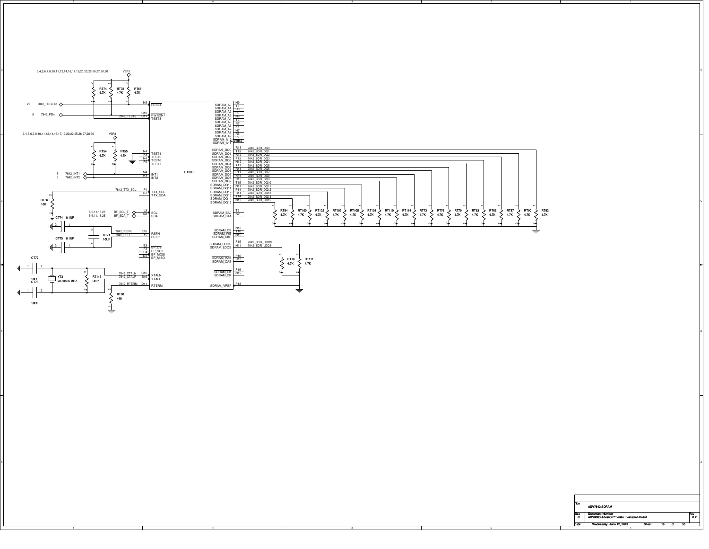

BI<br>Bi

| Title       | ADV7842 SDRAM                            |              |    |    |    |     |
|-------------|------------------------------------------|--------------|----|----|----|-----|
| <b>Size</b> | <b>Document Number</b>                   |              |    |    |    | Rew |
| C           | ADV8003 Advantiv™ Video Evaluation Board |              |    |    |    | 02  |
| Date:       | Wednesday, June 12, 2013                 | <b>Sheet</b> | 16 | Πt | 30 |     |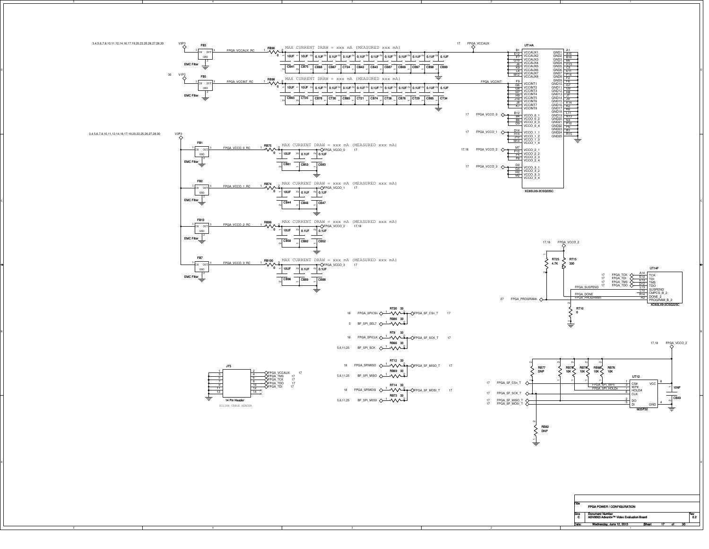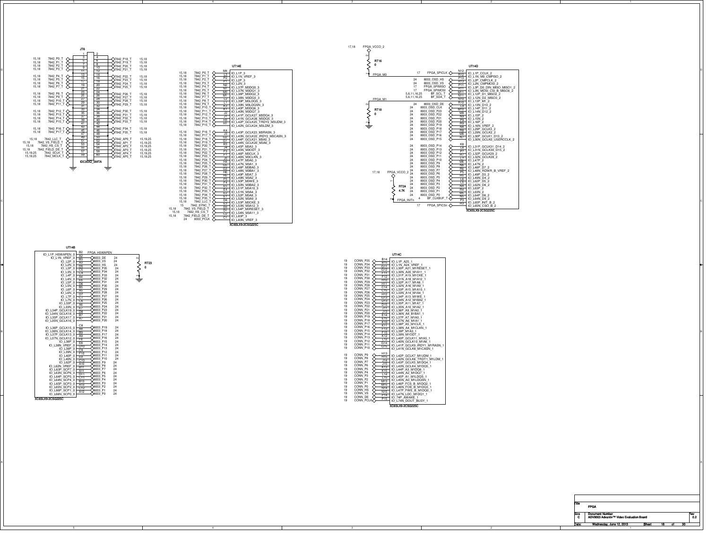

003\_P0

 $\frac{8}{9}$  $\frac{8}{5}$   $\frac{149}{16}$ °⊦ ĕH  $\frac{6}{3}$   $\frac{D10}{C9}$  $\frac{1}{2}$  $\frac{C10}{A10}$ 

 $\frac{6}{8}$   $\frac{A10}{B11}$  $0 - \frac{B11}{A11}$  $\frac{8}{51}$  $\frac{5}{2}$   $\frac{D11}{C11}$  $0 - \frac{C11}{B13}$  $\frac{6}{5}$   $\frac{13}{13}$  $\frac{6}{3}$   $\frac{1413}{612}$  $\frac{C12}{A12}$  $0^{6}$   $^{412}$ 

XC6SLX9-2CSG225C

IO\_L62N\_VREF\_0<br>IO\_L63P\_SCPP\_0<br>IO\_L64P\_SCP5\_0<br>IO\_L64P\_SCP3\_0<br>IO\_L66P\_SCP1\_0<br>IO\_L66N\_SCP0\_0<br>IO\_L66N\_SCP0\_0<br>IO\_L66N\_SCP0\_0

24

A



A

17,18

| Title     |                                          |  |  |     |
|-----------|------------------------------------------|--|--|-----|
|           | <b>FPGA</b>                              |  |  |     |
|           | <b>Document Number</b>                   |  |  | Rev |
|           |                                          |  |  |     |
| Size<br>C | ADV8003 Advantiv™ Video Evaluation Board |  |  | 0.2 |

FPGA\_INITn242424242424242424242424242424FPGA\_M1FPGA\_M0 4 8003\_OSD\_P11<br>
4 8003\_OSD\_P8<br>
4 8003\_OSD\_P6<br>
4 8003\_OSD\_P7<br>
4 8003\_OSD\_P7<br>
4 8003\_OSD\_P5<br>
4 8003\_OSD\_PP<br>
4 8003\_OSD\_P1<br>
4 8003\_OSD\_P1<br>
4 8003\_OSD\_P1<br>
4 BF\_CLKBUF\_T<br>
1n<br>
4 BF\_CLKBUF\_T 8003\_OSD\_P12 8003\_OSD\_P13 8003\_OSD\_P14 24<br>24<br>24 24 24<br>24 24<br>24 24 28<br>
8003\_OSD\_P23<br>
8003\_OSD\_P22<br>
8003\_OSD\_P22<br>
8003\_OSD\_P21<br>
8003\_OSD\_P19<br>
8003\_OSD\_P18<br>
8003\_OSD\_P17<br>
8003\_OSD\_P17<br>
8003\_OSD\_P17<br>
8003\_OSD\_P15<br>
8003\_OSD\_P15 DE<br>K<br>3 5,6,11,16,25<br>5,6,11,16,25 4 8003\_OSD\_VS<br>7 FPGA\_SPIMISO<br>7 FPGA\_SPIMOSI<br>16,25 BF\_SDA\_T<br>16,25 BF\_SDA\_T 24<br>24<br>17<br>17 17 FPGA\_SPICLK FPGA\_VCCO\_2 BF\_SCL\_T 8003\_OSD\_HS\<br>\<br>\<br>\ 2 UT14D IO\_L1P\_CCLK\_2 N12 IO\_L1N\_M0\_CMPISO\_2 R12 IO\_L2P\_CMPCLK\_2 P13 IO\_L2N\_CMPMOSI\_2 R13 IO\_L3P\_D0\_DIN\_MISO\_MISO1\_2 P11 IO\_L3N\_MOSI\_CSI\_B\_MISO0\_2 R11 IO\_L12P\_D1\_MISO2\_2 M11 IO\_L12N\_D2\_MISO3\_2 N11 IO\_L13P\_M1\_2 N10 IO\_L13N\_D10\_2 R10 IO\_L14P\_D11\_2 L9 IO\_L14N\_D12\_2 M10 IO\_L15P\_2 M9 IO\_L15N\_2 N9 IO\_L16P\_2 P9 IO\_L16N\_VREF\_2 R9 IO\_L29P\_GCLK3\_2 N8 IO\_L29N\_GCLK2\_2 R8 IO\_L30P\_GCLK1\_D13\_2 M8 IO\_L30N\_GCLK0\_USERCCLK\_2 N7 IO\_L31P\_GCLK31\_D14\_2 K8 IO\_L31N\_GCLK30\_D15\_2 L8 IO\_L32P\_GCLK29\_2 P7 IO\_L32N\_GCLK28\_2 R7 IO\_L47P\_2 L7 IO\_L47N\_2 M6 IO\_L48P\_D7\_2 N6 IO\_L48N\_RDWR\_B\_VREF\_2 R6 IO\_L49P\_D3\_2 P5 IO\_L49N\_D4\_2 R5 IO\_L62P\_D5\_2 L6 IO\_L63P\_2 N4 IO\_L64P\_D8\_2 M5 IO\_L64N\_D9\_2 N5  $\frac{15}{34}$  IO\_L62N\_D6\_2 R4<br>M5 IO\_L63N\_2 RT16 $\overline{0}$ 

XC6SLX9-2CSG225C

P3<br>R3 | IO\_L65P\_INIT\_B\_2<br>| IO\_L65N\_CSO\_B\_2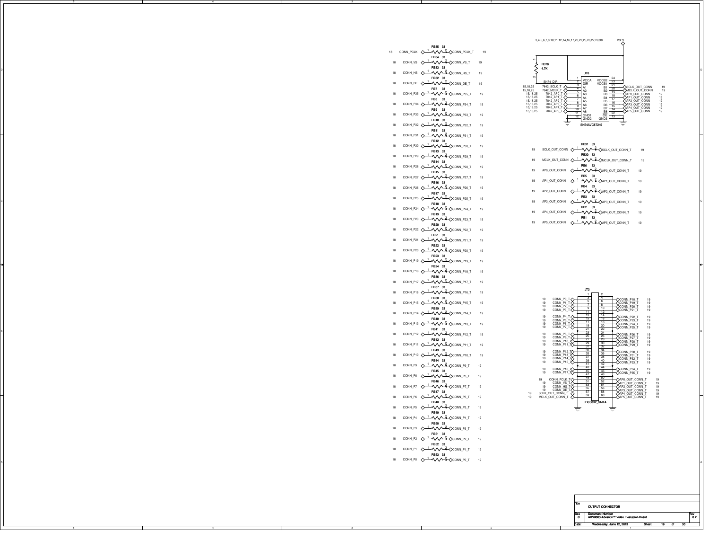

- RB31 33
- 19 SCLK\_OUT\_CONN  $\rightsquigarrow^{\perp} \sim \sim \sim \sim \sim \sim \sim \sim \sim$ nt\_conn\_t 19 RB30 33
- 19 MCLK\_OUT\_CONN  $\rightsquigarrow$   $\rightsquigarrow$   $\rightsquigarrow$   $\rightsquigarrow$   $\rightsquigarrow$   $\rightsquigarrow$   $\rightsquigarrow$ RB6 33
- 19 AP0\_OUT\_CONN-**1 AVY COND** CONN\_T 19 RB5 33
- 19 AP1\_OUT\_CONN-**1 AVY <del>&</del> AP1\_OUT\_CONN\_T** 19
- 19 AP2\_OUT\_CONN**!-/\/\^&\AP2\_OUT\_CONN\_T** 19 RB4 33
- C TO APPROXIMATE THE SUIT CONNECTION OF A PRODUCT CONNECTION OF A PRODUCT CONNECTION OF A PRODUCT CONNECTION OF A PRODUCT OF A PRODUCT OF A PRODUCT OF A PRODUCT OF A PRODUCT OF A PRODUCT OF A PRODUCT OF A PRODUCT OF A PROD 19 AP3\_OUT\_CONNRB3 33
	- AP4\_OUT\_CONN-**MMA-CAP4\_OUT\_CONN\_T** 19 RB2 33
	- 19RB1 33
	- 19 AP5\_OUT\_CONN  $\Diamond$   $\land\land\Diamond$   $\Diamond$ AP5\_OUT\_CONN\_T 19



- CONN\_PCLKCONN\_PCLK\_T 19 1 <sup>2</sup> RB34 33
- 188 CONN\_VS <u> ⊥</u>vVV<del>L</del>OCONN\_VS\_T 19 RB33 33
- 188 CONN\_HS ⊥**~∧∧∧–≗**◇conn\_hs\_t 19 <sup>2</sup>RB32 <sup>33</sup>

RB35 33

18CONN\_DECONN\_DE\_T 19 1 <sup>2</sup>

18

- 18--∧∧∧–<del>&</del>⊘conn\_p35\_T 19 RB7 33
- 8 CONN\_P35 RB8 3318♦ 1**-VVV-4-**QCONN\_P34\_T 19
- 188 CONN\_P34 RB9 33
- CONN\_P33 CONN\_P33\_T 19 1 <sup>2</sup> RB10 33
- 18 CONN\_P32 CONN\_P32\_T 19 1 <sup>2</sup> RB11 33
- 18 CONN\_P31 CONN\_P31\_T 19 1 <sup>2</sup> RB12 33
- 18 CONN\_P30 CONN\_P30\_T 19 1 <sup>2</sup> RB13 33
- 18 CONN\_P29 CONN\_P29\_T 19 1 <sup>2</sup> RB14 33
- 18 CONN\_P28 CONN\_P28\_T 19 1 <sup>2</sup> RB15 33
- 18CONN\_P27 CONN\_P27\_T 19 1 <sup>2</sup>
- 18 CONN\_P26 CONN\_P26\_T 19 1 <sup>2</sup> RB16 33
- 18 CONN\_P25 CONN\_P25\_T 19 1 <sup>2</sup> RB17 33
- 18 CONN\_P24 CONN\_P24\_T 19 RB19 33 1 <sup>2</sup> RB18 33
- 18CONN\_P23 CONN\_P23\_T 19 1 <sup>2</sup>
- 18 CONN\_P22 CONN\_P22\_T 19 1 <sup>2</sup> RB20 33
- CONN\_P21 CONN\_P21\_T 19RB21 33 1 <sup>2</sup>
- 18RB22 33
- 18CONN\_P20 CONN\_P20\_T 19 1 <sup>2</sup>
- 18 CONN\_P19 CONN\_P19\_T 19RB23 33 1 <sup>2</sup> RB24 33
- 18 CONN\_P18 CONN\_P18\_T 19 1 <sup>2</sup> RB36 33
- 18CONN\_P17 CONN\_P17\_T 19RB37 33 1 <sup>2</sup>
- 18CONN\_P16 CONN\_P16\_T 19 1 <sup>2</sup>
- 18 CONN\_P15 CONN\_P15\_T 19 1 <sup>2</sup> RB38 33
- RB39 33
- 18 CONN\_P14 CONN\_P14\_T 19 1 <sup>2</sup> RB40 33
- 18CONN\_P13 CONN\_P13\_T 19 1 <sup>2</sup>
- RB43 33
- RB44 33
- RB45 33
- RB46 33
- 
- 8 CONN\_P6\_CONN\_P6\_T 19
- 18CONN\_P5 CONN\_P5\_T 19RB48 33 1 <sup>2</sup>
- 18
- 
- 
- 
- CONN\_P1 CONN\_P1\_T 19 1 <sup>2</sup>
- 
- Al de la constantin de la constantin de la constantin de la constantin de la constantin de la constantin de la

TitleSize Document Number<br>C ADV8003 Advantiv™ Video Evaluation Board 0.2  $\begin{bmatrix} 1 & 0 \\ 0 & 2 \end{bmatrix}$ Date:Mednesday, June 12, 2013 **Sheet 19** of OUTPUT CONNECTORneed<br>C Sheet 19 of

18 CONN\_P11 CONN\_P11\_T 19 1 <sup>2</sup> 18 CONN\_P12 CONN\_P12\_T 19RB41 33 1 <sup>2</sup> RB42 33

- 188 CONN\_P10  $\rightsquigarrow$   $\rightsquigarrow$   $\rightsquigarrow$   $\rightsquigarrow$   $\rightsquigarrow$   $\rightsquigarrow$   $\rightsquigarrow$   $\rightsquigarrow$
- 18 CONN\_P9 - NNA≗◇CONN\_P9\_T 19
- 18CONN\_P8 CONN\_P8\_T 19 1 <sup>2</sup>
- 18CONN\_P7 CONN\_P7\_T 19 1 <sup>2</sup>
- 18RB47 33
- 
- RB49 33
- CONN\_P4 CONN\_P4\_T 19 1 <sup>2</sup>
- 18CONN\_P3 CONN\_P3\_T 19RB50 33 1 <sup>2</sup>
- CONN\_P2 -**1-^{\^<del>\$</del><**\conn\_p2\_T 19
- RB52 33
- RB53 33
- 
- 1818
- RB51 33
	- - -
- 18
	- - - CONN\_P0 CONN\_P0\_T 19 1 <sup>2</sup>
- 
- 
- -
- 

- -
	-
- 
- 
- 
- 
- 
- -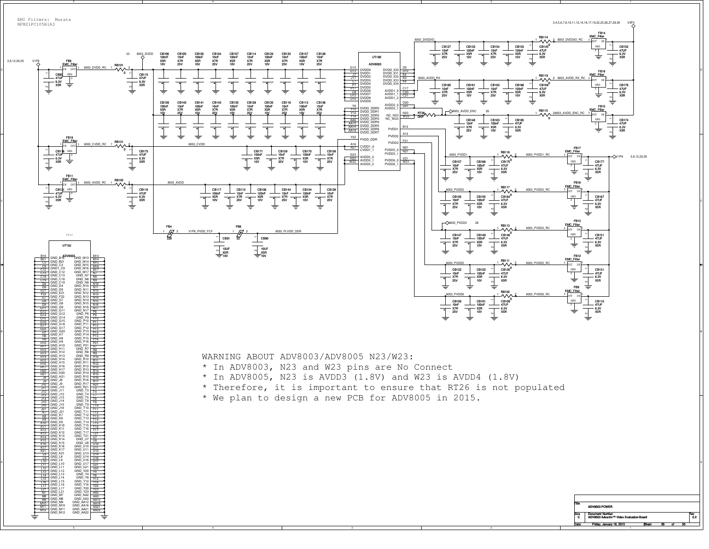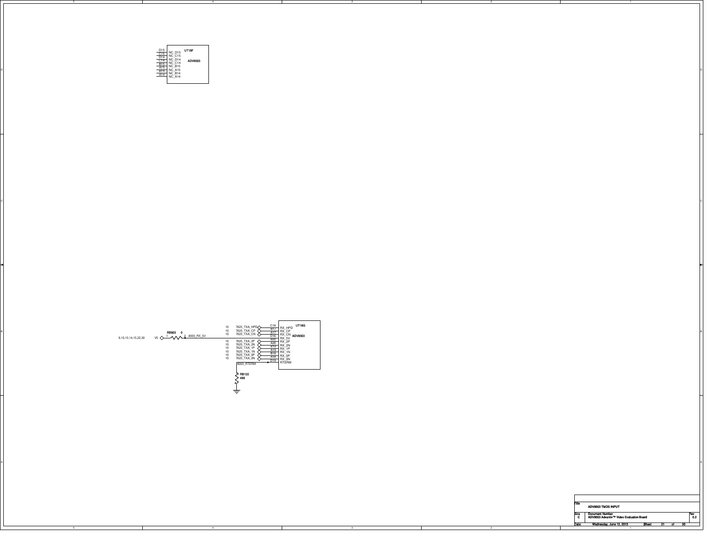



 $\circ$ 

| Title |                                          |  |  |     |
|-------|------------------------------------------|--|--|-----|
|       | ADV8003 TMDS INPUT                       |  |  |     |
| Size  | <b>Document Number</b>                   |  |  | Rev |
| C     | ADV8003 Advantiv™ Video Evaluation Board |  |  | 0.2 |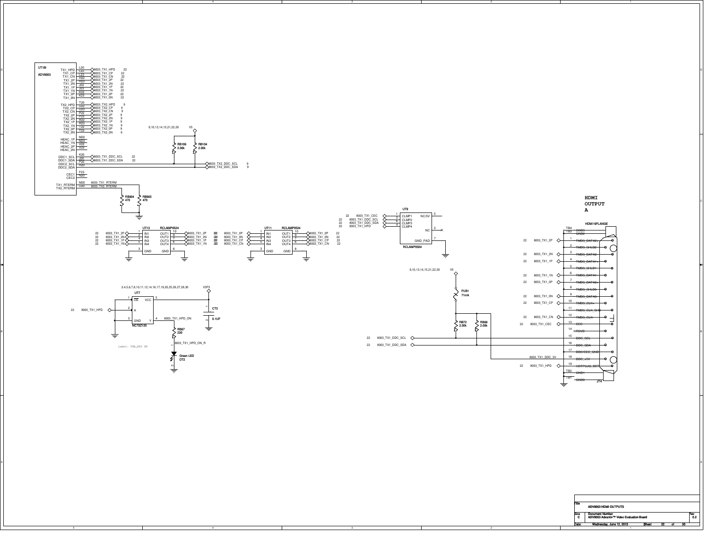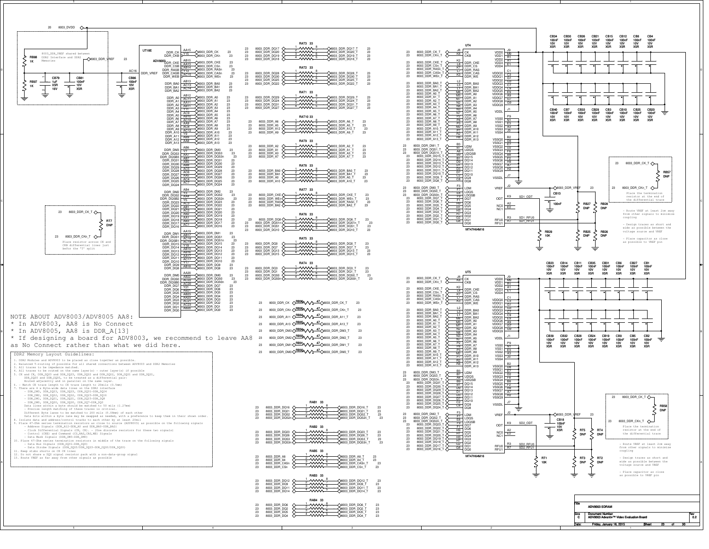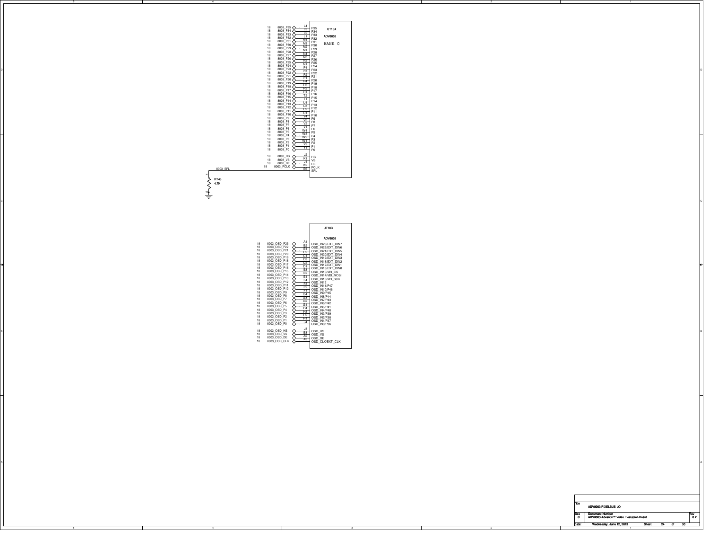|                                 | 18<br><b>UT18A</b><br>18<br>18<br>ADV8003<br>18<br>18<br>BANK 0<br>18<br>18<br>18<br>18<br>18<br>18<br>18                  |
|---------------------------------|----------------------------------------------------------------------------------------------------------------------------|
|                                 | 18<br>18<br>18<br>18<br>18<br>18<br>18<br>18<br>18<br>18<br>18<br>18<br>18<br>18                                           |
|                                 | 18<br>18<br>18<br>18<br>18<br>18<br>18<br>$\frac{18}{18}$<br>18                                                            |
| 8003_SFL<br><b>RT48</b><br>4.7K | 18 8003 HS $\overline{X}$ HS<br>18 8003 VS $\overline{X}$ HS<br>18 8003 DE $\overline{X}$ DE<br>18 8003 PCLK<br><b>SFL</b> |

RT48 4.7K 1  $\alpha$ 

|                                                                                                                                                                                                                                                                                                                                                                                                                                                                                                                                                                                                                                                                                                           | UT18B   |
|-----------------------------------------------------------------------------------------------------------------------------------------------------------------------------------------------------------------------------------------------------------------------------------------------------------------------------------------------------------------------------------------------------------------------------------------------------------------------------------------------------------------------------------------------------------------------------------------------------------------------------------------------------------------------------------------------------------|---------|
| 18                                                                                                                                                                                                                                                                                                                                                                                                                                                                                                                                                                                                                                                                                                        | ADV8003 |
| $\begin{array}{r} 8003\_0 \text{SD}_{} = 23 \\ 8003\_0 \text{SD}_{} = 22 \\ \text{RHS} = 0.01 \text{S} = 0.01 \text{S} = 0.000 \text{S} = 0.000 \text{S} = 0.000 \text{S} = 0.000 \text{S} = 0.000 \text{S} = 0.000 \text{S} = 0.000 \text{S} = 0.000 \text{S} = 0.000 \text{S} = 0.000 \text{S} = 0.000 \text{S} = 0.000 \text{S} = 0.0$<br>18<br>8003_OSD_P21<br>8003_OSD_P20<br>8003_OSD_P20<br>009_OSD_P10<br>C1 OSD_N20/EXT_DIN4<br>18<br>18                                                                                                                                                                                                                                                         |         |
| 8003_OSD_P19<br>8003_OSD_P19<br>8003_OSD_P19<br>8003_OSD_P17<br>8003_OSD_P17<br>P12<br>D1 OSD_N17/EXT_DIN1<br>003_OSD_P17<br>P12<br>D5D_IN17/EXT_DIN1<br>18<br>18<br>18                                                                                                                                                                                                                                                                                                                                                                                                                                                                                                                                   |         |
| 8003_OSD_P16        OSD_IN16/EXT_DIN0<br>18<br>18<br>$\begin{array}{ccc}\n8003^-0SD_P15 & \xleftarrow{\phantom{xx}} & \xrightarrow{\phantom{xx}} & \xrightarrow{\phantom{xx}} & \xrightarrow{\phantom{xx}} & \xrightarrow{\phantom{xx}} & \xrightarrow{\phantom{xx}} & \xrightarrow{\phantom{xx}} & \xrightarrow{\phantom{xx}} & \xrightarrow{\phantom{xx}} & \xrightarrow{\phantom{xx}} & \xrightarrow{\phantom{xx}} & \xrightarrow{\phantom{xx}} & \xrightarrow{\phantom{xx}} & \xrightarrow{\phantom{xx}} & \xrightarrow{\phantom{xx}} & \xrightarrow{\phantom{xx}} & \xrightarrow{\phantom{xx}} & \xrightarrow{\phantom{xx}} & \xrightarrow{\phantom{xx}} & \xrightarrow{\phantom{xx}} &$<br>18<br>18 |         |
| 8003_OSD_P12<br>8003_OSD_P11<br>8003_OSD_P11<br>8000_OSD_P11<br>8000_OSD_B10<br>8000_OSD_B10<br>8000_OSD_B10<br>8000_M110P40<br>18<br>18<br>18                                                                                                                                                                                                                                                                                                                                                                                                                                                                                                                                                            |         |
| 8003_OSD_P9<br>18<br>$\frac{64}{9}$ OSD IN9/P45<br>8003 OSD P8<br>18<br>8003 OSD<br>18                                                                                                                                                                                                                                                                                                                                                                                                                                                                                                                                                                                                                    |         |
| 8003_OSD<br>18<br>$\sqrt{\frac{64}{91}}$ OSD_IN6/P42<br>8003 OSD P5<br>18<br>$\sqrt{\frac{1}{14}}$ OSD_IN5/P41<br>8003_OSD_P4<br>18<br>$\sqrt{\frac{1}{H_3}}$ OSD IN4/P40<br>8003_OSD_P3<br>18                                                                                                                                                                                                                                                                                                                                                                                                                                                                                                            |         |
| $\sqrt{+12}$ OSD_IN3/P39<br>8003_OSD_P2<br>18<br>OSD_IN2/P38<br>8003 OSD P1<br>18<br>34 OSD_IN1/P37<br>8003_OSD_P0<br>18                                                                                                                                                                                                                                                                                                                                                                                                                                                                                                                                                                                  |         |
| 8003_OSD_HS<br>18<br>18                                                                                                                                                                                                                                                                                                                                                                                                                                                                                                                                                                                                                                                                                   |         |
| 18<br>18                                                                                                                                                                                                                                                                                                                                                                                                                                                                                                                                                                                                                                                                                                  |         |

A

 $\circ$ 

| liite     | ADV8003 PIXELBUS I/O                                               |              |    |    |    |           |
|-----------|--------------------------------------------------------------------|--------------|----|----|----|-----------|
| Size<br>C | <b>Document Number</b><br>ADV8003 Advantiv™ Video Evaluation Board |              |    |    |    | Rev<br>02 |
| Date:     | Wednesday, June 12, 2013                                           | <b>Sheet</b> | 24 | ot | 30 |           |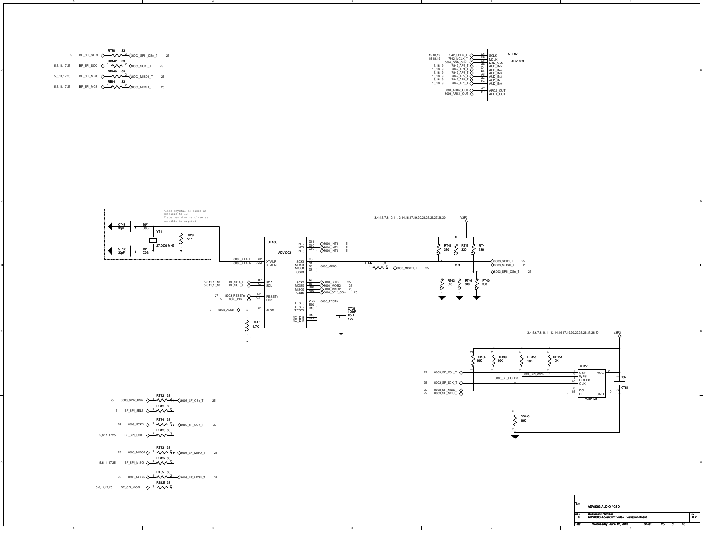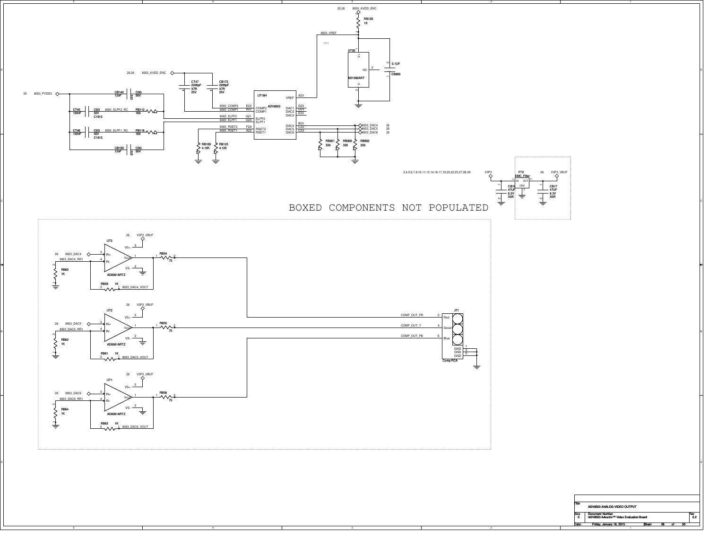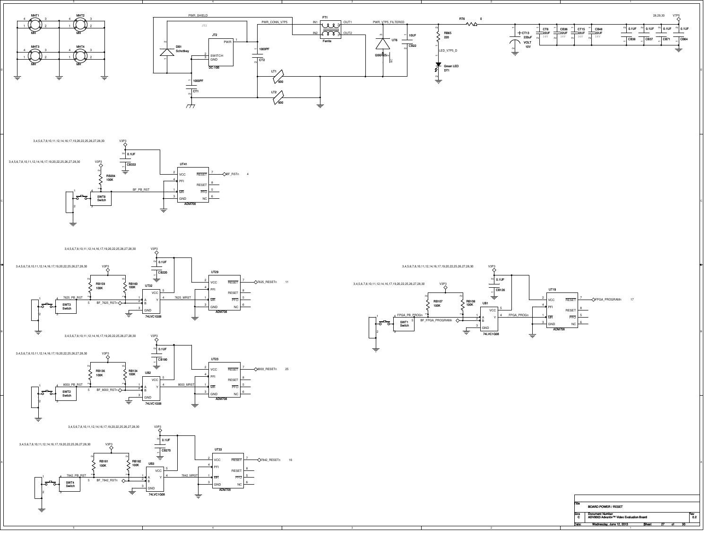







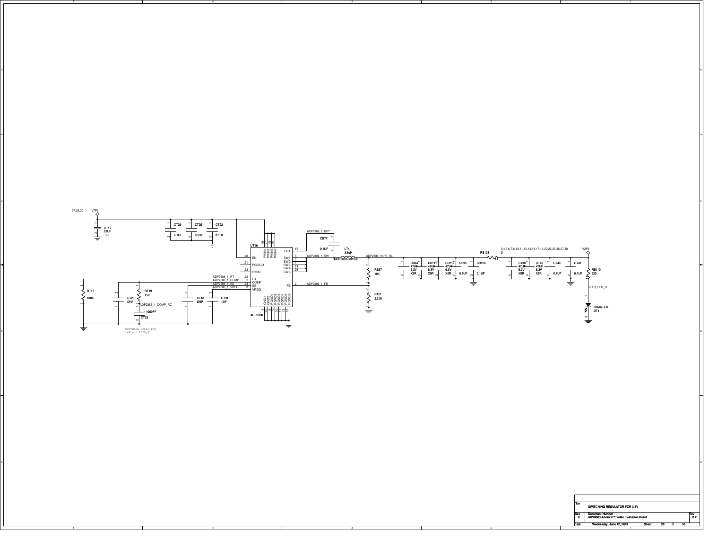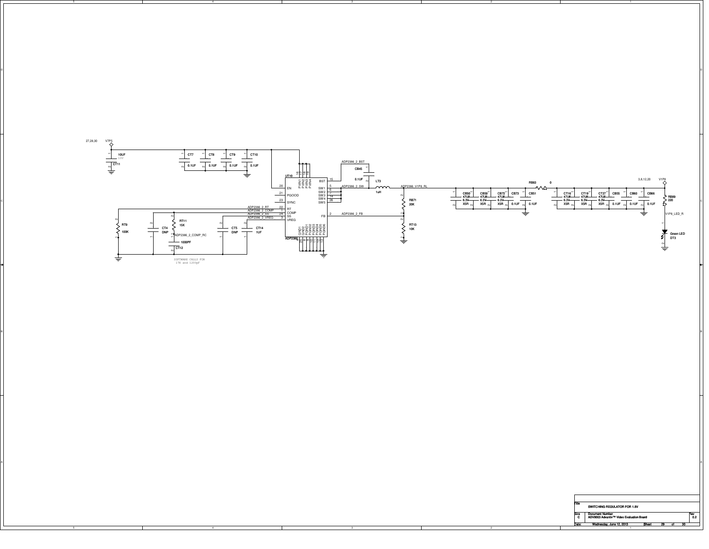

on and the contract of the contract of the contract of the contract of the contract of the contract of the contract of the contract of the contract of the contract of the contract of the contract of the contract of the con

BI<br>Bi

A

| <b>Document Number</b><br>Size                | Rev |  |
|-----------------------------------------------|-----|--|
|                                               |     |  |
| ADV8003 Advantiv™ Video Evaluation Board<br>c |     |  |